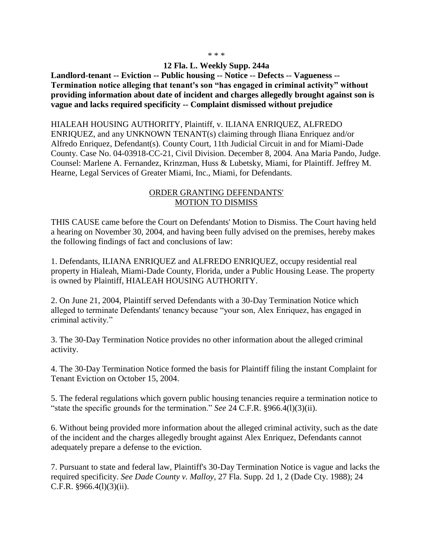## \* \* \*

## **12 Fla. L. Weekly Supp. 244a**

**Landlord-tenant -- Eviction -- Public housing -- Notice -- Defects -- Vagueness -- Termination notice alleging that tenant's son "has engaged in criminal activity" without providing information about date of incident and charges allegedly brought against son is vague and lacks required specificity -- Complaint dismissed without prejudice**

## HIALEAH HOUSING AUTHORITY, Plaintiff, v. ILIANA ENRIQUEZ, ALFREDO

ENRIQUEZ, and any UNKNOWN TENANT(s) claiming through Iliana Enriquez and/or Alfredo Enriquez, Defendant(s). County Court, 11th Judicial Circuit in and for Miami-Dade County. Case No. 04-03918-CC-21, Civil Division. December 8, 2004. Ana Maria Pando, Judge. Counsel: Marlene A. Fernandez, Krinzman, Huss & Lubetsky, Miami, for Plaintiff. Jeffrey M. Hearne, Legal Services of Greater Miami, Inc., Miami, for Defendants.

## ORDER GRANTING DEFENDANTS' MOTION TO DISMISS

THIS CAUSE came before the Court on Defendants' Motion to Dismiss. The Court having held a hearing on November 30, 2004, and having been fully advised on the premises, hereby makes the following findings of fact and conclusions of law:

1. Defendants, ILIANA ENRIQUEZ and ALFREDO ENRIQUEZ, occupy residential real property in Hialeah, Miami-Dade County, Florida, under a Public Housing Lease. The property is owned by Plaintiff, HIALEAH HOUSING AUTHORITY.

2. On June 21, 2004, Plaintiff served Defendants with a 30-Day Termination Notice which alleged to terminate Defendants' tenancy because "your son, Alex Enriquez, has engaged in criminal activity."

3. The 30-Day Termination Notice provides no other information about the alleged criminal activity.

4. The 30-Day Termination Notice formed the basis for Plaintiff filing the instant Complaint for Tenant Eviction on October 15, 2004.

5. The federal regulations which govern public housing tenancies require a termination notice to "state the specific grounds for the termination." *See* 24 C.F.R. §966.4(l)(3)(ii).

6. Without being provided more information about the alleged criminal activity, such as the date of the incident and the charges allegedly brought against Alex Enriquez, Defendants cannot adequately prepare a defense to the eviction.

7. Pursuant to state and federal law, Plaintiff's 30-Day Termination Notice is vague and lacks the required specificity. *See Dade County v. Malloy,* 27 Fla. Supp. 2d 1, 2 (Dade Cty. 1988); 24 C.F.R.  $§966.4(l)(3)(ii)$ .